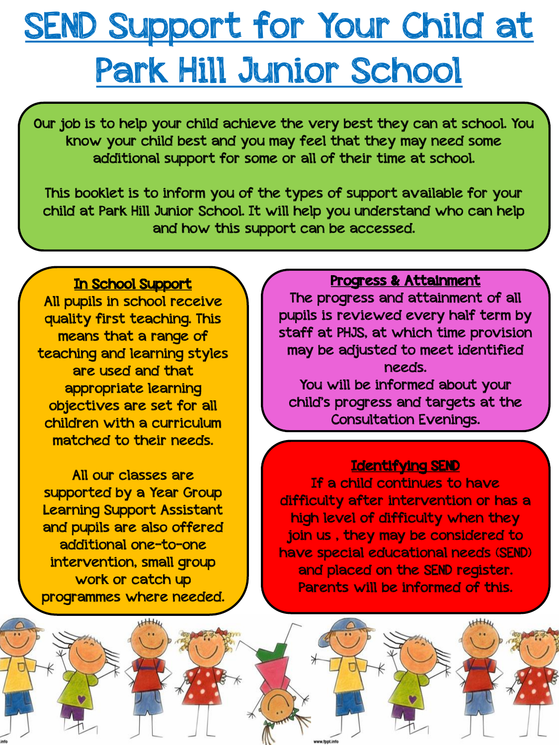### SEND Support for Your Child at Park Hill Junior School

Our job is to help your child achieve the very best they can at school. You know your child best and you may feel that they may need some additional support for some or all of their time at school.

This booklet is to inform you of the types of support available for your child at Park Hill Junior School. It will help you understand who can help and how this support can be accessed.

#### In School Support

All pupils in school receive quality first teaching. This means that a range of teaching and learning styles are used and that appropriate learning objectives are set for all children with a curriculum matched to their needs.

All our classes are supported by a Year Group Learning Support Assistant and pupils are also offered additional one-to-one intervention, small group work or catch up programmes where needed.

#### Progress & Attainment

The progress and attainment of all pupils is reviewed every half term by staff at PHJS, at which time provision may be adjusted to meet identified needs.

You will be informed about your child's progress and targets at the Consultation Evenings.

#### Identifying SEND

If a child continues to have difficulty after intervention or has a high level of difficulty when they join us , they may be considered to have special educational needs (SEND) and placed on the SEND register. Parents will be informed of this.

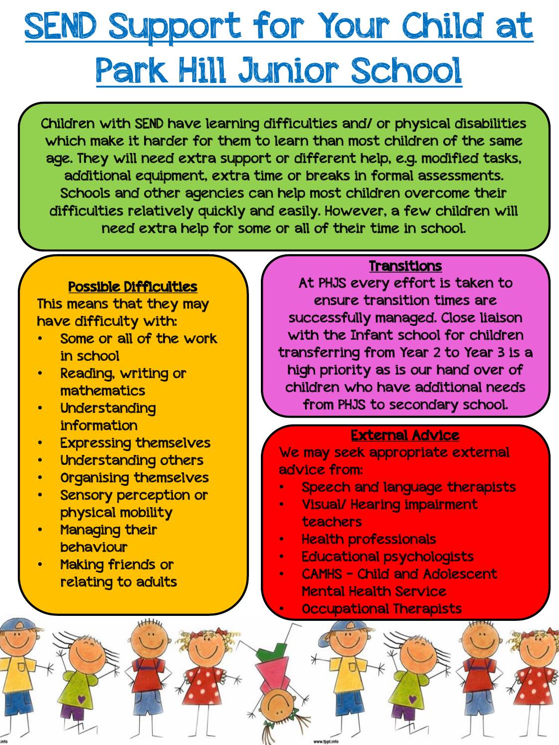# SEND Support for Your Child at Park Hill Junior School

Children with SEND have learning difficulties and/ or physical disabilities which make it harder for them to learn than most children of the same age. They will need extra support or different help, e.g. modified tasks, additional equipment, extra time or breaks in formal assessments. Schools and other agencies can help most children overcome their difficulties relatively quickly and easily. However, a few children will need extra help for some or all of their time in school.

#### Possible Difficulties

This means that they may have difficulty with:

- Some or all of the work in school
- Reading, writing or mathematics
- **Understanding** information
- Expressing themselves
- Understanding others
- Organising themselves
- Sensory perception or physical mobility
- **Managing their** behaviour
- Making friends or relating to adults

### Transitions

At PHJS every effort is taken to ensure transition times are successfully managed. Close liaison with the Infant school for children transferring from Year 2 to Year 3 is a high priority as is our hand over of children who have additional needs from PHJS to secondary school.

#### External Advice

We may seek appropriate external advice from:

- Speech and language therapists
- Visual/ Hearing impairment teachers
- Health professionals
- Educational psychologists
- CAMHS Child and Adolescent Mental Health Service

• Occupational Therapists